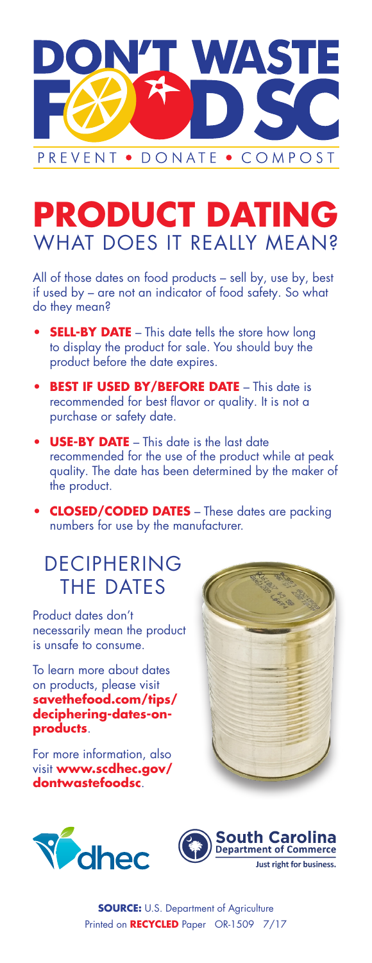

# **PRODUCT DATING** WHAT DOES IT REALLY MEAN?

All of those dates on food products – sell by, use by, best if used by – are not an indicator of food safety. So what do they mean?

- **SELL-BY DATE** This date tells the store how long to display the product for sale. You should buy the product before the date expires.
- **BEST IF USED BY/BEFORE DATE** This date is recommended for best flavor or quality. It is not a purchase or safety date.
- **• USE-BY DATE** This date is the last date recommended for the use of the product while at peak quality. The date has been determined by the maker of the product.
- **•• CLOSED/CODED DATES** These dates are packing numbers for use by the manufacturer.

### DECIPHERING THE DATES

Product dates don't necessarily mean the product is unsafe to consume.

To learn more about dates on products, please visit **savethefood.com/tips/ deciphering-dates-onproducts**.

For more information, also visit **www.scdhec.gov/ dontwastefoodsc**.





**SOURCE:** U.S. Department of Agriculture Printed on **RECYCLED** Paper OR-1509 7/17